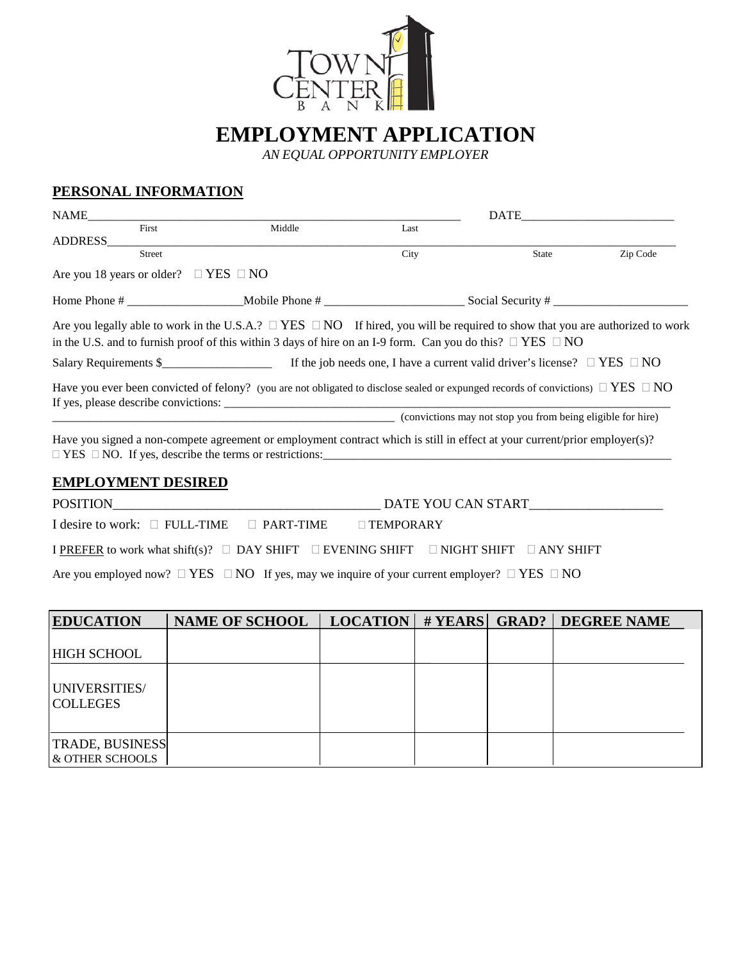

**EMPLOYMENT APPLICATION**

*AN EQUAL OPPORTUNITY EMPLOYER*

# **PERSONAL INFORMATION**

| NAME                                            |                                                                                                                                            | DATE             |       |          |
|-------------------------------------------------|--------------------------------------------------------------------------------------------------------------------------------------------|------------------|-------|----------|
| First                                           | Middle                                                                                                                                     | Last             |       |          |
| ADDRESS<br>Street                               |                                                                                                                                            | City             | State | Zip Code |
| Are you 18 years or older? $\Box$ YES $\Box$ NO |                                                                                                                                            |                  |       |          |
|                                                 |                                                                                                                                            |                  |       |          |
|                                                 | Are you legally able to work in the U.S.A.? $\Box$ YES $\Box$ NO If hired, you will be required to show that you are authorized to work    |                  |       |          |
|                                                 | in the U.S. and to furnish proof of this within 3 days of hire on an I-9 form. Can you do this? $\Box$ YES $\Box$ NO                       |                  |       |          |
|                                                 |                                                                                                                                            |                  |       |          |
|                                                 | Have you ever been convicted of felony? (you are not obligated to disclose sealed or expunged records of convictions) $\Box$ YES $\Box$ NO |                  |       |          |
|                                                 | (convictions may not stop you from being eligible for hire)                                                                                |                  |       |          |
|                                                 | Have you signed a non-compete agreement or employment contract which is still in effect at your current/prior employer(s)?                 |                  |       |          |
| <b>EMPLOYMENT DESIRED</b>                       |                                                                                                                                            |                  |       |          |
|                                                 |                                                                                                                                            |                  |       |          |
|                                                 | I desire to work: $\Box$ FULL-TIME $\Box$ PART-TIME                                                                                        | $\Box$ TEMPORARY |       |          |
|                                                 | I PREFER to work what shift(s)? □ DAY SHIFT □ EVENING SHIFT □ NIGHT SHIFT □ ANY SHIFT                                                      |                  |       |          |

Are you employed now?  $\Box$  YES  $\Box$  NO If yes, may we inquire of your current employer?  $\Box$  YES  $\Box$  NO

| <b>EDUCATION</b>                                       | <b>NAME OF SCHOOL</b> |  | LOCATION   # YEARS   GRAD?   DEGREE NAME |
|--------------------------------------------------------|-----------------------|--|------------------------------------------|
| <b>HIGH SCHOOL</b><br>UNIVERSITIES/<br><b>COLLEGES</b> |                       |  |                                          |
| <b>TRADE, BUSINESS</b><br><b>L&amp; OTHER SCHOOLS</b>  |                       |  |                                          |